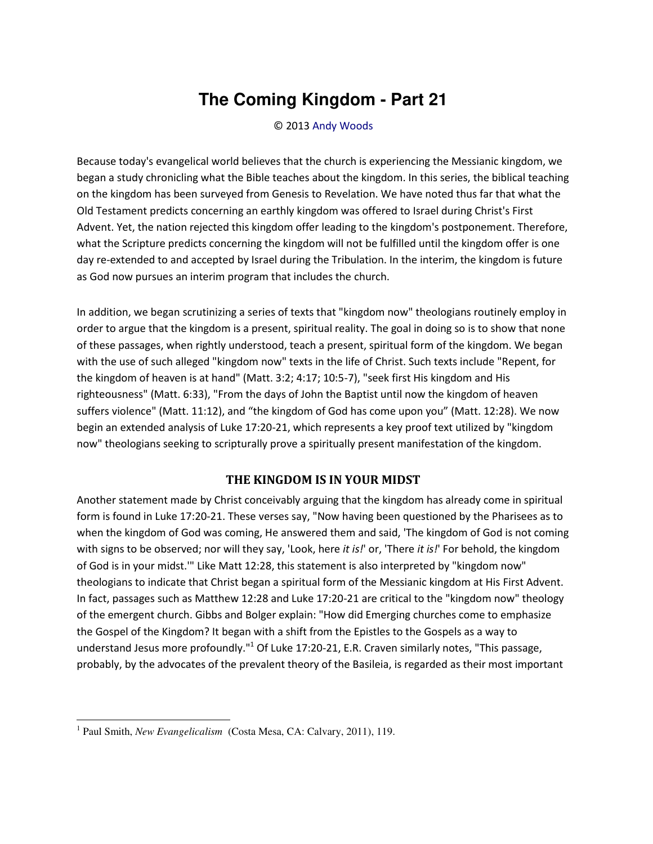## **The Coming Kingdom - Part 21**

© 2013 [Andy Woods](http://www.spiritandtruth.org/id/aw.htm)

Because today's evangelical world believes that the church is experiencing the Messianic kingdom, we began a study chronicling what the Bible teaches about the kingdom. In this series, the biblical teaching on the kingdom has been surveyed from Genesis to Revelation. We have noted thus far that what the Old Testament predicts concerning an earthly kingdom was offered to Israel during Christ's First Advent. Yet, the nation rejected this kingdom offer leading to the kingdom's postponement. Therefore, what the Scripture predicts concerning the kingdom will not be fulfilled until the kingdom offer is one day re-extended to and accepted by Israel during the Tribulation. In the interim, the kingdom is future as God now pursues an interim program that includes the church.

In addition, we began scrutinizing a series of texts that "kingdom now" theologians routinely employ in order to argue that the kingdom is a present, spiritual reality. The goal in doing so is to show that none of these passages, when rightly understood, teach a present, spiritual form of the kingdom. We began with the use of such alleged "kingdom now" texts in the life of Christ. Such texts include "Repent, for the kingdom of heaven is at hand" (Matt. 3:2; 4:17; 10:5-7), "seek first His kingdom and His righteousness" (Matt. 6:33), "From the days of John the Baptist until now the kingdom of heaven suffers violence" (Matt. 11:12), and "the kingdom of God has come upon you" (Matt. 12:28). We now begin an extended analysis of Luke 17:20-21, which represents a key proof text utilized by "kingdom now" theologians seeking to scripturally prove a spiritually present manifestation of the kingdom.

## **THE KINGDOM IS IN YOUR MIDST**

Another statement made by Christ conceivably arguing that the kingdom has already come in spiritual form is found in Luke 17:20-21. These verses say, "Now having been questioned by the Pharisees as to when the kingdom of God was coming, He answered them and said, 'The kingdom of God is not coming with signs to be observed; nor will they say, 'Look, here *it is!'* or, 'There *it is!'* For behold, the kingdom of God is in your midst.'" Like Matt 12:28, this statement is also interpreted by "kingdom now" theologians to indicate that Christ began a spiritual form of the Messianic kingdom at His First Advent. In fact, passages such as Matthew 12:28 and Luke 17:20-21 are critical to the "kingdom now" theology of the emergent church. Gibbs and Bolger explain: "How did Emerging churches come to emphasize the Gospel of the Kingdom? It began with a shift from the Epistles to the Gospels as a way to understand Jesus more profoundly."<sup>1</sup> Of Luke 17:20-21, E.R. Craven similarly notes, "This passage, probably, by the advocates of the prevalent theory of the Basileia, is regarded as their most important

 $\overline{a}$ 

<sup>&</sup>lt;sup>1</sup> Paul Smith, *New Evangelicalism* (Costa Mesa, CA: Calvary, 2011), 119.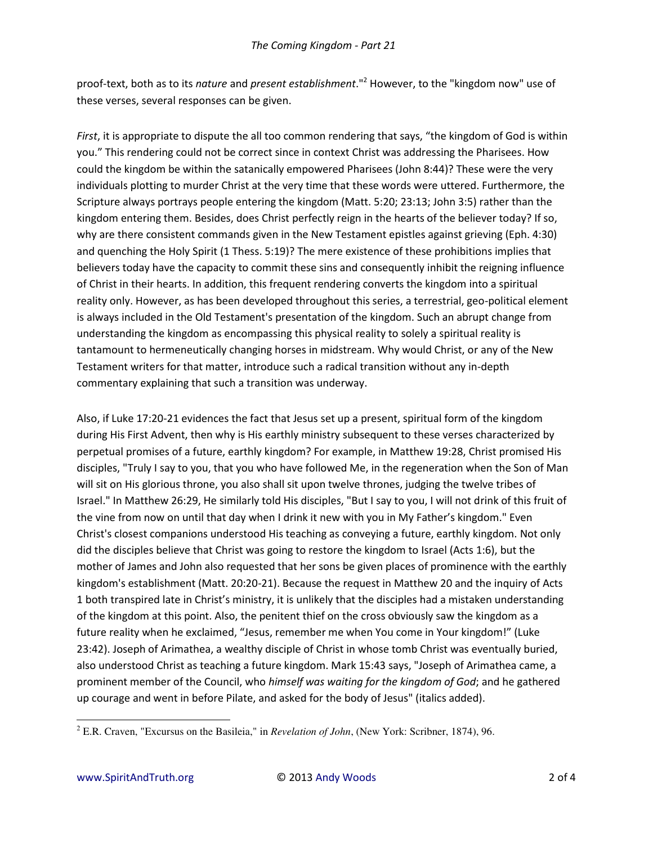proof-text, both as to its *nature* and *present establishment*."<sup>2</sup> However, to the "kingdom now" use of these verses, several responses can be given.

*First*, it is appropriate to dispute the all too common rendering that says, "the kingdom of God is within you." This rendering could not be correct since in context Christ was addressing the Pharisees. How could the kingdom be within the satanically empowered Pharisees (John 8:44)? These were the very individuals plotting to murder Christ at the very time that these words were uttered. Furthermore, the Scripture always portrays people entering the kingdom (Matt. 5:20; 23:13; John 3:5) rather than the kingdom entering them. Besides, does Christ perfectly reign in the hearts of the believer today? If so, why are there consistent commands given in the New Testament epistles against grieving (Eph. 4:30) and quenching the Holy Spirit (1 Thess. 5:19)? The mere existence of these prohibitions implies that believers today have the capacity to commit these sins and consequently inhibit the reigning influence of Christ in their hearts. In addition, this frequent rendering converts the kingdom into a spiritual reality only. However, as has been developed throughout this series, a terrestrial, geo-political element is always included in the Old Testament's presentation of the kingdom. Such an abrupt change from understanding the kingdom as encompassing this physical reality to solely a spiritual reality is tantamount to hermeneutically changing horses in midstream. Why would Christ, or any of the New Testament writers for that matter, introduce such a radical transition without any in-depth commentary explaining that such a transition was underway.

Also, if Luke 17:20-21 evidences the fact that Jesus set up a present, spiritual form of the kingdom during His First Advent, then why is His earthly ministry subsequent to these verses characterized by perpetual promises of a future, earthly kingdom? For example, in Matthew 19:28, Christ promised His disciples, "Truly I say to you, that you who have followed Me, in the regeneration when the Son of Man will sit on His glorious throne, you also shall sit upon twelve thrones, judging the twelve tribes of Israel." In Matthew 26:29, He similarly told His disciples, "But I say to you, I will not drink of this fruit of the vine from now on until that day when I drink it new with you in My Father's kingdom." Even Christ's closest companions understood His teaching as conveying a future, earthly kingdom. Not only did the disciples believe that Christ was going to restore the kingdom to Israel (Acts 1:6), but the mother of James and John also requested that her sons be given places of prominence with the earthly kingdom's establishment (Matt. 20:20-21). Because the request in Matthew 20 and the inquiry of Acts 1 both transpired late in Christ's ministry, it is unlikely that the disciples had a mistaken understanding of the kingdom at this point. Also, the penitent thief on the cross obviously saw the kingdom as a future reality when he exclaimed, "Jesus, remember me when You come in Your kingdom!" (Luke 23:42). Joseph of Arimathea, a wealthy disciple of Christ in whose tomb Christ was eventually buried, also understood Christ as teaching a future kingdom. Mark 15:43 says, "Joseph of Arimathea came, a prominent member of the Council, who *himself was waiting for the kingdom of God*; and he gathered up courage and went in before Pilate, and asked for the body of Jesus" (italics added).

 $\overline{a}$ 

<sup>2</sup> E.R. Craven, "Excursus on the Basileia," in *Revelation of John*, (New York: Scribner, 1874), 96.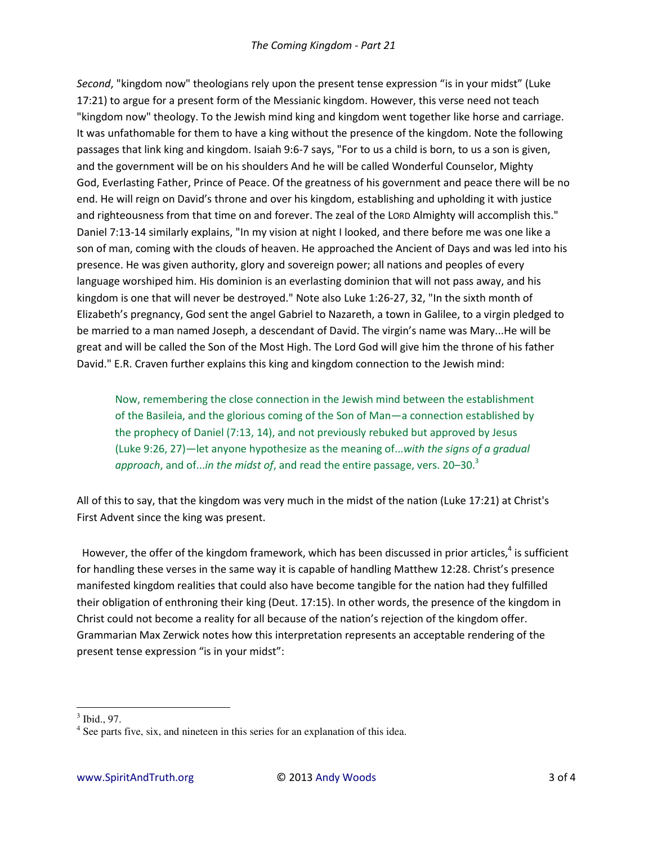*Second*, "kingdom now" theologians rely upon the present tense expression "is in your midst" (Luke 17:21) to argue for a present form of the Messianic kingdom. However, this verse need not teach "kingdom now" theology. To the Jewish mind king and kingdom went together like horse and carriage. It was unfathomable for them to have a king without the presence of the kingdom. Note the following passages that link king and kingdom. Isaiah 9:6-7 says, "For to us a child is born, to us a son is given, and the government will be on his shoulders And he will be called Wonderful Counselor, Mighty God, Everlasting Father, Prince of Peace. Of the greatness of his government and peace there will be no end. He will reign on David's throne and over his kingdom, establishing and upholding it with justice and righteousness from that time on and forever. The zeal of the LORD Almighty will accomplish this." Daniel 7:13-14 similarly explains, "In my vision at night I looked, and there before me was one like a son of man, coming with the clouds of heaven. He approached the Ancient of Days and was led into his presence. He was given authority, glory and sovereign power; all nations and peoples of every language worshiped him. His dominion is an everlasting dominion that will not pass away, and his kingdom is one that will never be destroyed." Note also Luke 1:26-27, 32, "In the sixth month of Elizabeth's pregnancy, God sent the angel Gabriel to Nazareth, a town in Galilee, to a virgin pledged to be married to a man named Joseph, a descendant of David. The virgin's name was Mary...He will be great and will be called the Son of the Most High. The Lord God will give him the throne of his father David." E.R. Craven further explains this king and kingdom connection to the Jewish mind:

Now, remembering the close connection in the Jewish mind between the establishment of the Basileia, and the glorious coming of the Son of Man—a connection established by the prophecy of Daniel (7:13, 14), and not previously rebuked but approved by Jesus (Luke 9:26, 27)—let anyone hypothesize as the meaning of...*with the signs of a gradual*  approach, and of...*in the midst of*, and read the entire passage, vers. 20–30.<sup>3</sup>

All of this to say, that the kingdom was very much in the midst of the nation (Luke 17:21) at Christ's First Advent since the king was present.

However, the offer of the kingdom framework, which has been discussed in prior articles, $4$  is sufficient for handling these verses in the same way it is capable of handling Matthew 12:28. Christ's presence manifested kingdom realities that could also have become tangible for the nation had they fulfilled their obligation of enthroning their king (Deut. 17:15). In other words, the presence of the kingdom in Christ could not become a reality for all because of the nation's rejection of the kingdom offer. Grammarian Max Zerwick notes how this interpretation represents an acceptable rendering of the present tense expression "is in your midst":

 $\overline{\phantom{0}}$ 

<sup>3</sup> Ibid., 97.

<sup>&</sup>lt;sup>4</sup> See parts five, six, and nineteen in this series for an explanation of this idea.